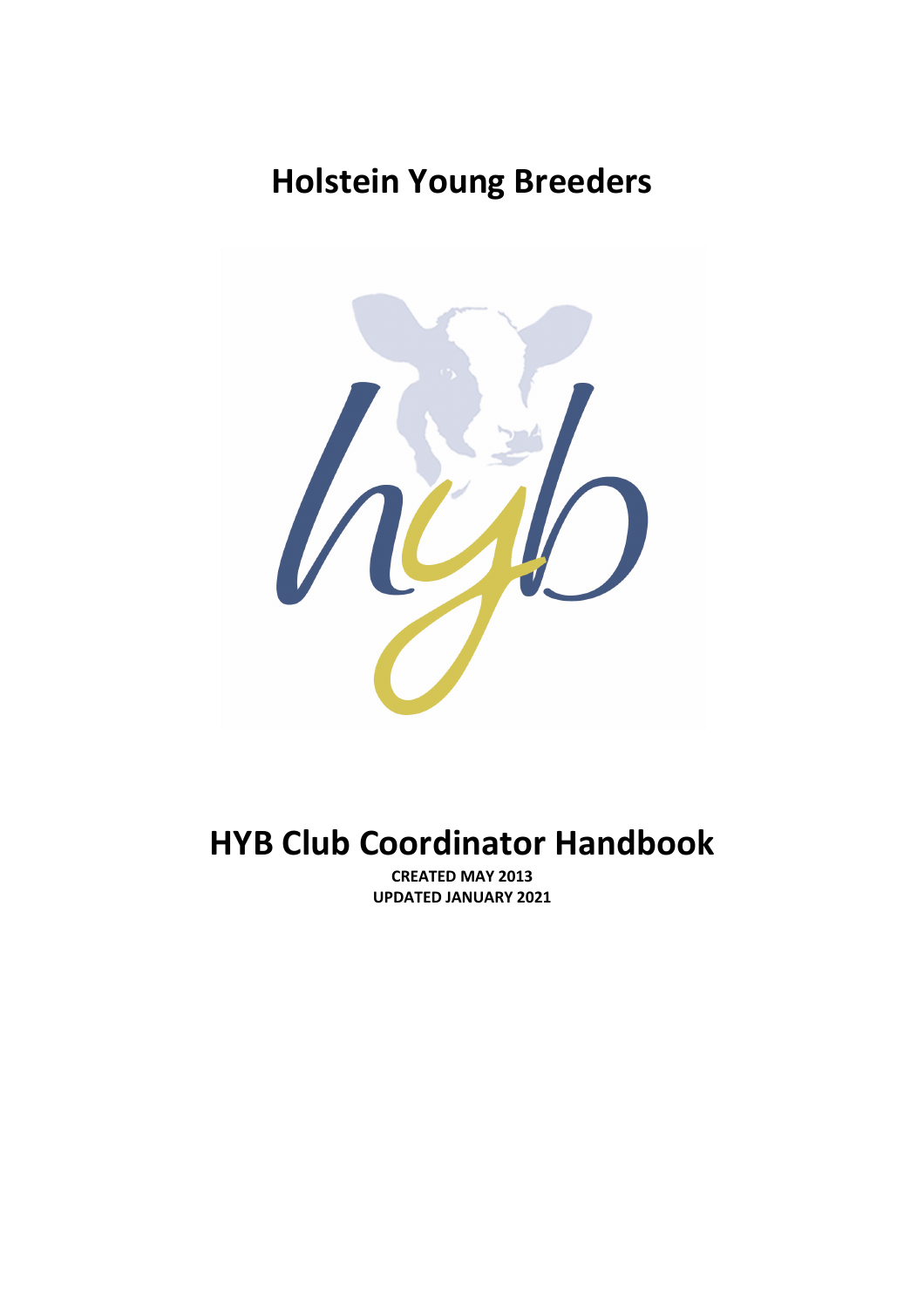# **Holstein Young Breeders**



# **HYB Club Coordinator Handbook**

**CREATED MAY 2013 UPDATED JANUARY 2021**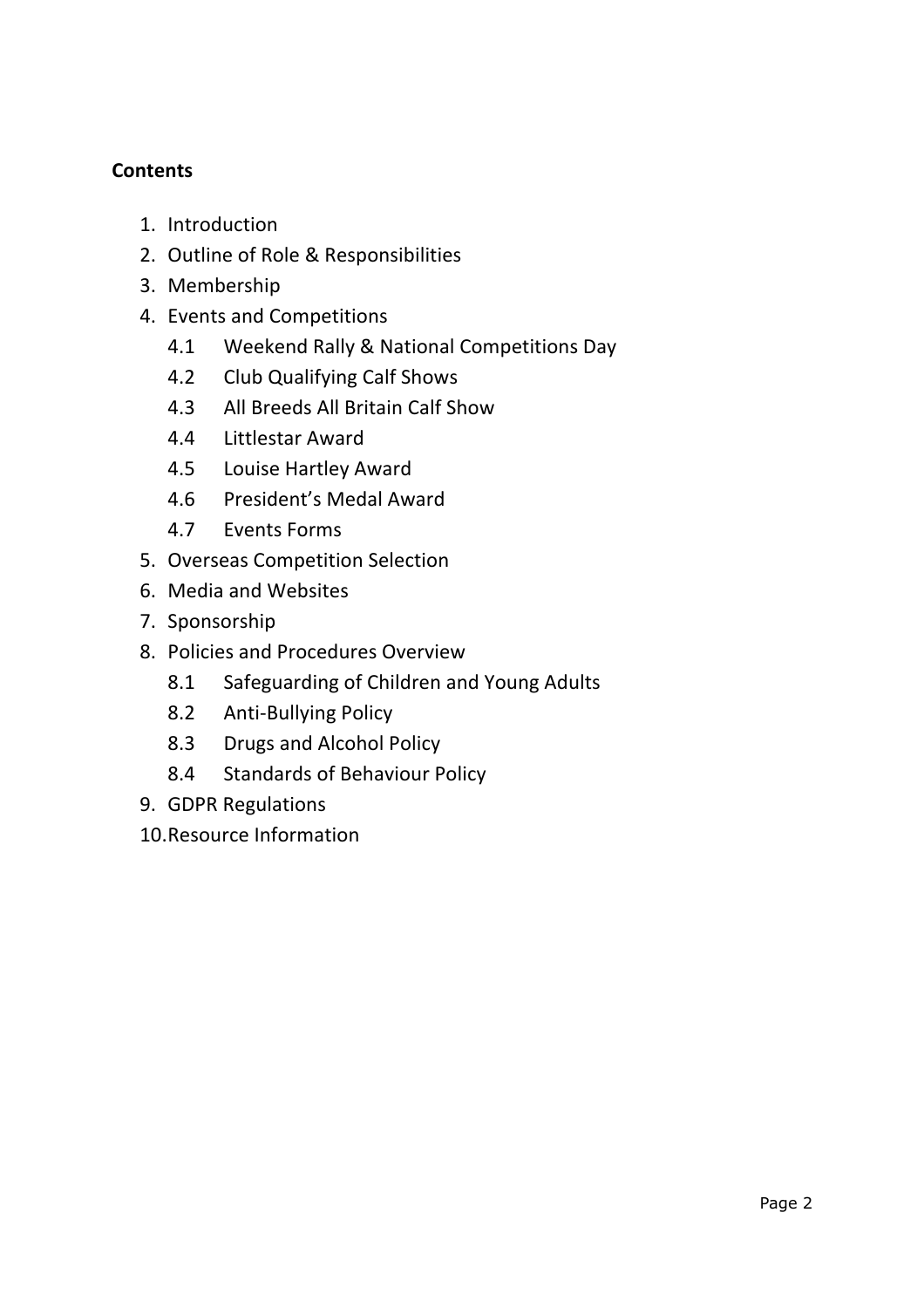## **Contents**

- 1. Introduction
- 2. Outline of Role & Responsibilities
- 3. Membership
- 4. Events and Competitions
	- 4.1 Weekend Rally & National Competitions Day
	- 4.2 Club Qualifying Calf Shows
	- 4.3 All Breeds All Britain Calf Show
	- 4.4 Littlestar Award
	- 4.5 Louise Hartley Award
	- 4.6 President's Medal Award
	- 4.7 Events Forms
- 5. Overseas Competition Selection
- 6. Media and Websites
- 7. Sponsorship
- 8. Policies and Procedures Overview
	- 8.1 Safeguarding of Children and Young Adults
	- 8.2 Anti-Bullying Policy
	- 8.3 Drugs and Alcohol Policy
	- 8.4 Standards of Behaviour Policy
- 9. GDPR Regulations
- 10.Resource Information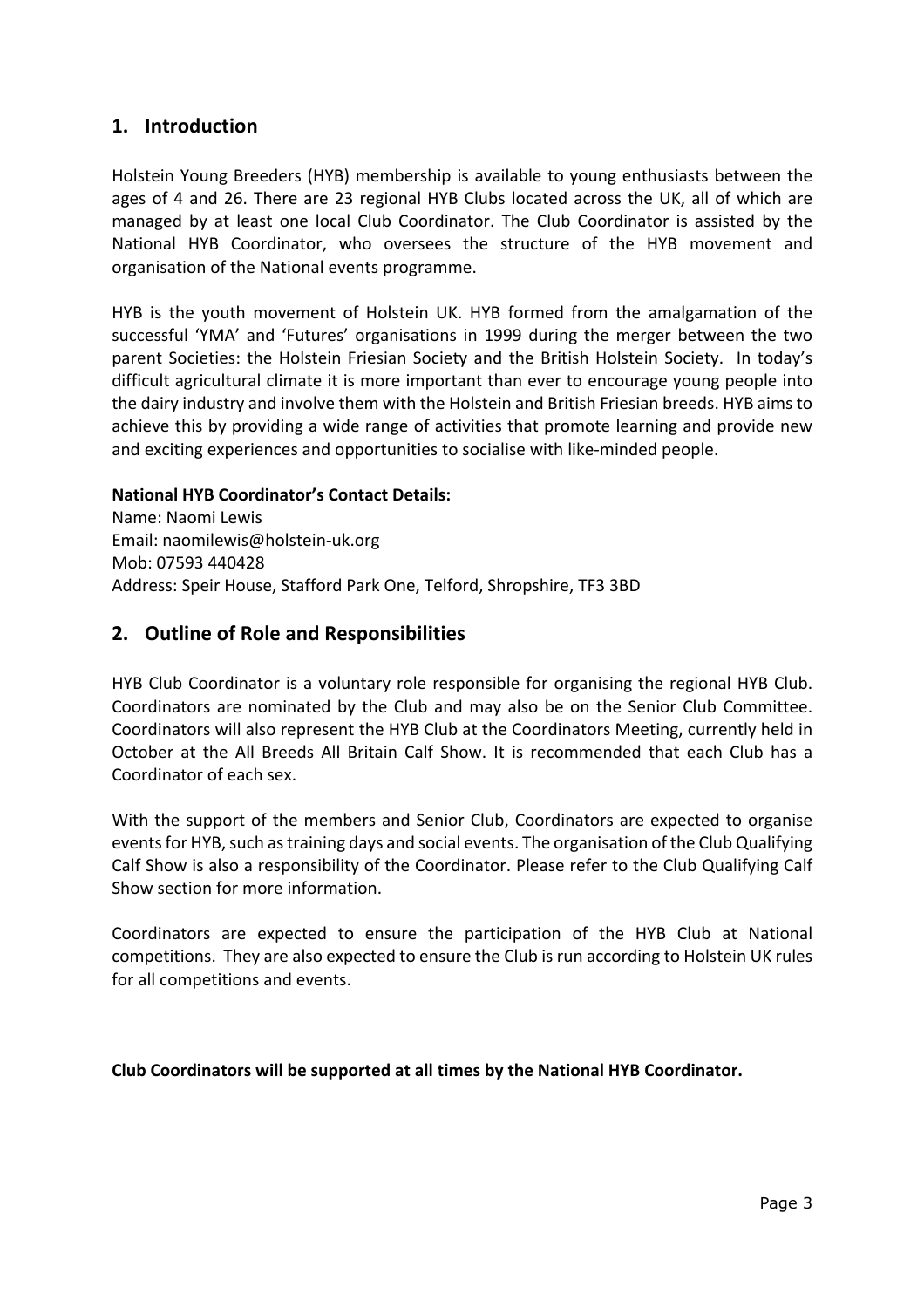### **1. Introduction**

Holstein Young Breeders (HYB) membership is available to young enthusiasts between the ages of 4 and 26. There are 23 regional HYB Clubs located across the UK, all of which are managed by at least one local Club Coordinator. The Club Coordinator is assisted by the National HYB Coordinator, who oversees the structure of the HYB movement and organisation of the National events programme.

HYB is the youth movement of Holstein UK. HYB formed from the amalgamation of the successful 'YMA' and 'Futures' organisations in 1999 during the merger between the two parent Societies: the Holstein Friesian Society and the British Holstein Society. In today's difficult agricultural climate it is more important than ever to encourage young people into the dairy industry and involve them with the Holstein and British Friesian breeds. HYB aims to achieve this by providing a wide range of activities that promote learning and provide new and exciting experiences and opportunities to socialise with like-minded people.

#### **National HYB Coordinator's Contact Details:**

Name: Naomi Lewis Email: naomilewis@holstein-uk.org Mob: 07593 440428 Address: Speir House, Stafford Park One, Telford, Shropshire, TF3 3BD

#### **2. Outline of Role and Responsibilities**

HYB Club Coordinator is a voluntary role responsible for organising the regional HYB Club. Coordinators are nominated by the Club and may also be on the Senior Club Committee. Coordinators will also represent the HYB Club at the Coordinators Meeting, currently held in October at the All Breeds All Britain Calf Show. It is recommended that each Club has a Coordinator of each sex.

With the support of the members and Senior Club, Coordinators are expected to organise events for HYB, such as training days and social events. The organisation of the Club Qualifying Calf Show is also a responsibility of the Coordinator. Please refer to the Club Qualifying Calf Show section for more information.

Coordinators are expected to ensure the participation of the HYB Club at National competitions. They are also expected to ensure the Club is run according to Holstein UK rules for all competitions and events.

#### **Club Coordinators will be supported at all times by the National HYB Coordinator.**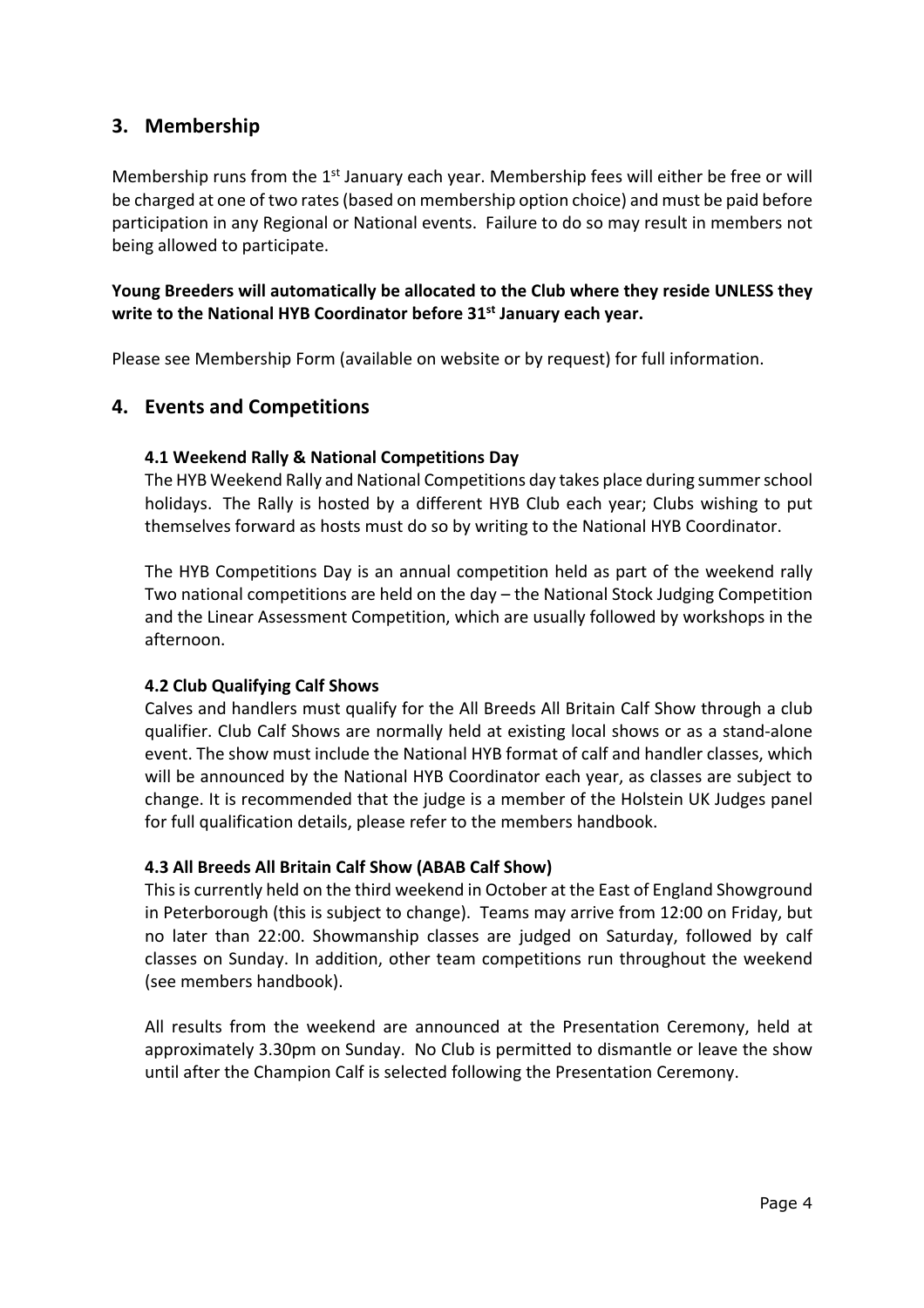## **3. Membership**

Membership runs from the 1<sup>st</sup> January each year. Membership fees will either be free or will be charged at one of two rates (based on membership option choice) and must be paid before participation in any Regional or National events. Failure to do so may result in members not being allowed to participate.

#### **Young Breeders will automatically be allocated to the Club where they reside UNLESS they write to the National HYB Coordinator before 31st January each year.**

Please see Membership Form (available on website or by request) for full information.

## **4. Events and Competitions**

#### **4.1 Weekend Rally & National Competitions Day**

The HYB Weekend Rally and National Competitions day takes place during summer school holidays. The Rally is hosted by a different HYB Club each year; Clubs wishing to put themselves forward as hosts must do so by writing to the National HYB Coordinator.

The HYB Competitions Day is an annual competition held as part of the weekend rally Two national competitions are held on the day – the National Stock Judging Competition and the Linear Assessment Competition, which are usually followed by workshops in the afternoon.

#### **4.2 Club Qualifying Calf Shows**

Calves and handlers must qualify for the All Breeds All Britain Calf Show through a club qualifier. Club Calf Shows are normally held at existing local shows or as a stand-alone event. The show must include the National HYB format of calf and handler classes, which will be announced by the National HYB Coordinator each year, as classes are subject to change. It is recommended that the judge is a member of the Holstein UK Judges panel for full qualification details, please refer to the members handbook.

#### **4.3 All Breeds All Britain Calf Show (ABAB Calf Show)**

This is currently held on the third weekend in October at the East of England Showground in Peterborough (this is subject to change). Teams may arrive from 12:00 on Friday, but no later than 22:00. Showmanship classes are judged on Saturday, followed by calf classes on Sunday. In addition, other team competitions run throughout the weekend (see members handbook).

All results from the weekend are announced at the Presentation Ceremony, held at approximately 3.30pm on Sunday. No Club is permitted to dismantle or leave the show until after the Champion Calf is selected following the Presentation Ceremony.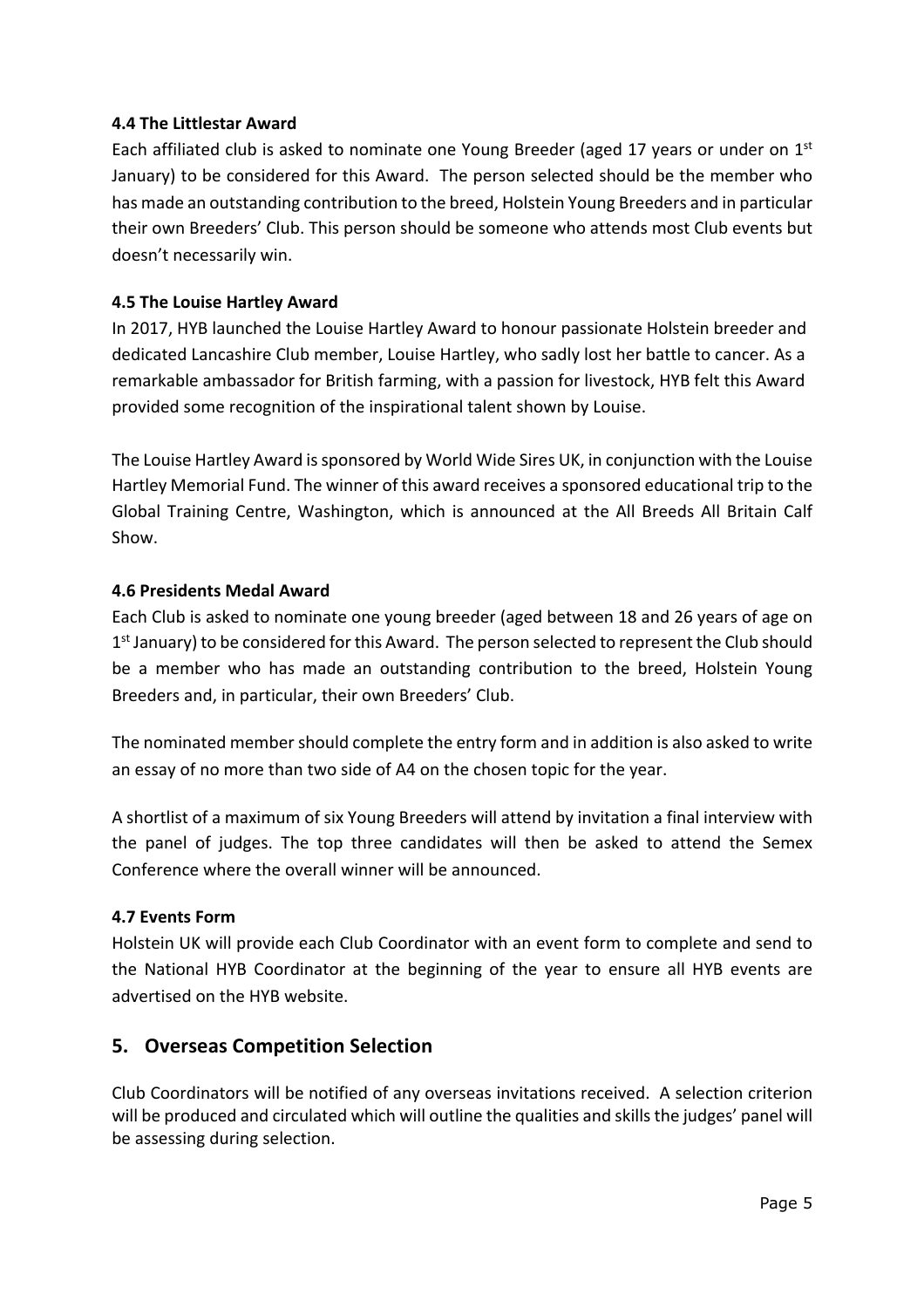#### **4.4 The Littlestar Award**

Each affiliated club is asked to nominate one Young Breeder (aged 17 years or under on  $1<sup>st</sup>$ January) to be considered for this Award. The person selected should be the member who has made an outstanding contribution to the breed, Holstein Young Breeders and in particular their own Breeders' Club. This person should be someone who attends most Club events but doesn't necessarily win.

#### **4.5 The Louise Hartley Award**

In 2017, HYB launched the Louise Hartley Award to honour passionate Holstein breeder and dedicated Lancashire Club member, Louise Hartley, who sadly lost her battle to cancer. As a remarkable ambassador for British farming, with a passion for livestock, HYB felt this Award provided some recognition of the inspirational talent shown by Louise.

The Louise Hartley Award is sponsored by World Wide Sires UK, in conjunction with the Louise Hartley Memorial Fund. The winner of this award receives a sponsored educational trip to the Global Training Centre, Washington, which is announced at the All Breeds All Britain Calf Show.

#### **4.6 Presidents Medal Award**

Each Club is asked to nominate one young breeder (aged between 18 and 26 years of age on 1<sup>st</sup> January) to be considered for this Award. The person selected to represent the Club should be a member who has made an outstanding contribution to the breed, Holstein Young Breeders and, in particular, their own Breeders' Club.

The nominated member should complete the entry form and in addition is also asked to write an essay of no more than two side of A4 on the chosen topic for the year.

A shortlist of a maximum of six Young Breeders will attend by invitation a final interview with the panel of judges. The top three candidates will then be asked to attend the Semex Conference where the overall winner will be announced.

#### **4.7 Events Form**

Holstein UK will provide each Club Coordinator with an event form to complete and send to the National HYB Coordinator at the beginning of the year to ensure all HYB events are advertised on the HYB website.

#### **5. Overseas Competition Selection**

Club Coordinators will be notified of any overseas invitations received. A selection criterion will be produced and circulated which will outline the qualities and skills the judges' panel will be assessing during selection.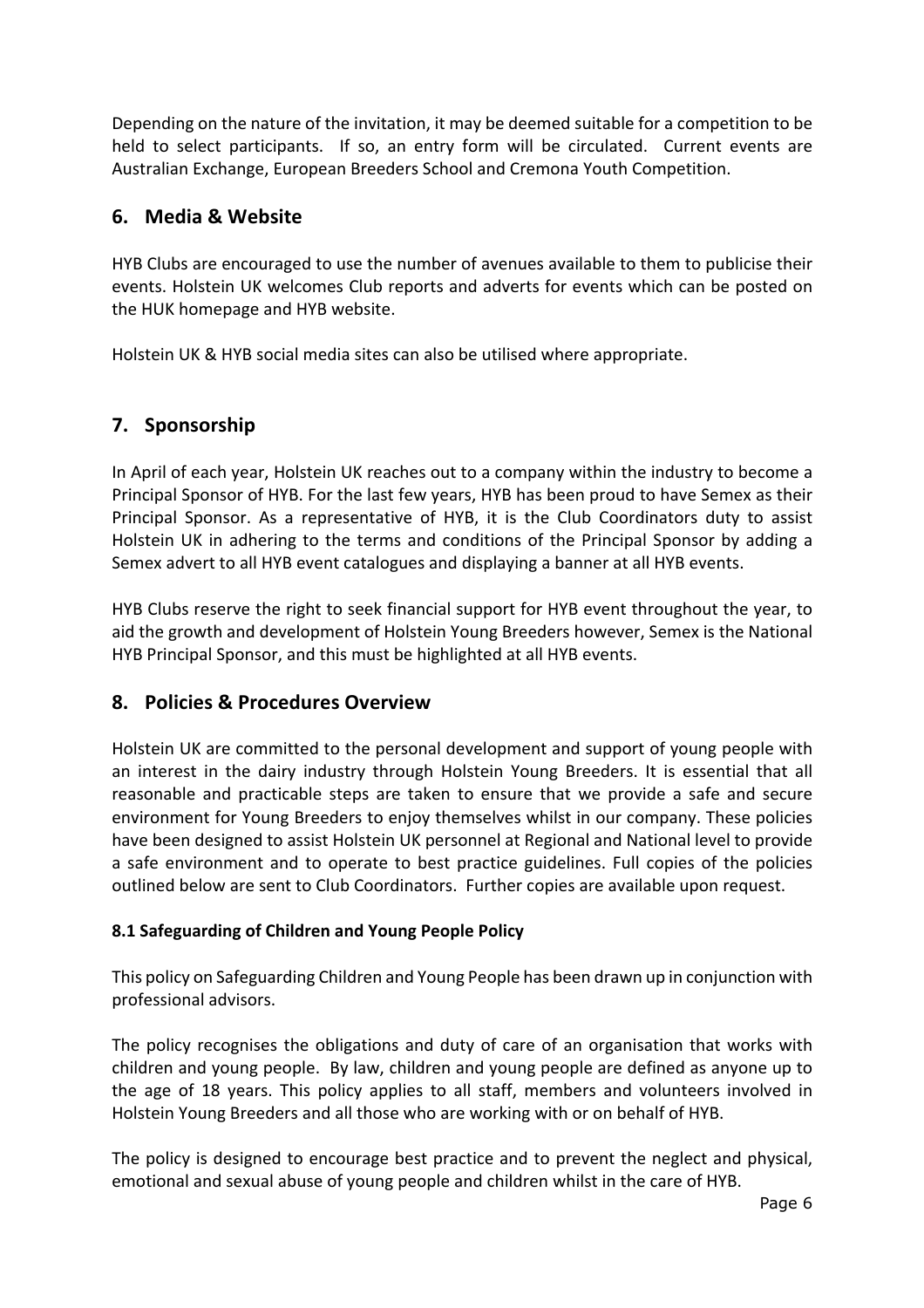Depending on the nature of the invitation, it may be deemed suitable for a competition to be held to select participants. If so, an entry form will be circulated. Current events are Australian Exchange, European Breeders School and Cremona Youth Competition.

## **6. Media & Website**

HYB Clubs are encouraged to use the number of avenues available to them to publicise their events. Holstein UK welcomes Club reports and adverts for events which can be posted on the HUK homepage and HYB website.

Holstein UK & HYB social media sites can also be utilised where appropriate.

## **7. Sponsorship**

In April of each year, Holstein UK reaches out to a company within the industry to become a Principal Sponsor of HYB. For the last few years, HYB has been proud to have Semex as their Principal Sponsor. As a representative of HYB, it is the Club Coordinators duty to assist Holstein UK in adhering to the terms and conditions of the Principal Sponsor by adding a Semex advert to all HYB event catalogues and displaying a banner at all HYB events.

HYB Clubs reserve the right to seek financial support for HYB event throughout the year, to aid the growth and development of Holstein Young Breeders however, Semex is the National HYB Principal Sponsor, and this must be highlighted at all HYB events.

## **8. Policies & Procedures Overview**

Holstein UK are committed to the personal development and support of young people with an interest in the dairy industry through Holstein Young Breeders. It is essential that all reasonable and practicable steps are taken to ensure that we provide a safe and secure environment for Young Breeders to enjoy themselves whilst in our company. These policies have been designed to assist Holstein UK personnel at Regional and National level to provide a safe environment and to operate to best practice guidelines. Full copies of the policies outlined below are sent to Club Coordinators. Further copies are available upon request.

## **8.1 Safeguarding of Children and Young People Policy**

This policy on Safeguarding Children and Young People has been drawn up in conjunction with professional advisors.

The policy recognises the obligations and duty of care of an organisation that works with children and young people. By law, children and young people are defined as anyone up to the age of 18 years. This policy applies to all staff, members and volunteers involved in Holstein Young Breeders and all those who are working with or on behalf of HYB.

The policy is designed to encourage best practice and to prevent the neglect and physical, emotional and sexual abuse of young people and children whilst in the care of HYB.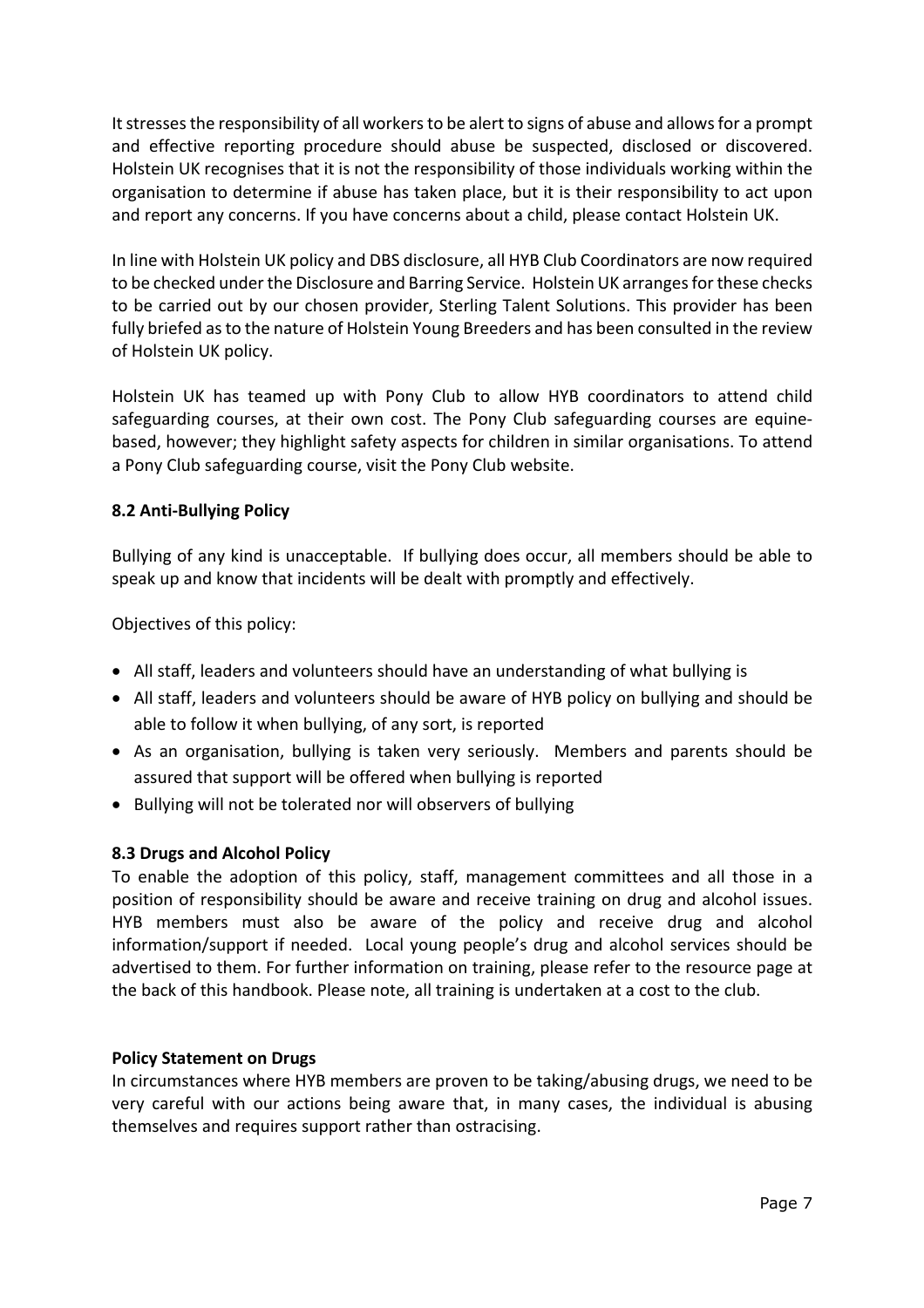It stresses the responsibility of all workers to be alert to signs of abuse and allowsfor a prompt and effective reporting procedure should abuse be suspected, disclosed or discovered. Holstein UK recognises that it is not the responsibility of those individuals working within the organisation to determine if abuse has taken place, but it is their responsibility to act upon and report any concerns. If you have concerns about a child, please contact Holstein UK.

In line with Holstein UK policy and DBS disclosure, all HYB Club Coordinators are now required to be checked under the Disclosure and Barring Service. Holstein UK arranges for these checks to be carried out by our chosen provider, Sterling Talent Solutions. This provider has been fully briefed as to the nature of Holstein Young Breeders and has been consulted in the review of Holstein UK policy.

Holstein UK has teamed up with Pony Club to allow HYB coordinators to attend child safeguarding courses, at their own cost. The Pony Club safeguarding courses are equinebased, however; they highlight safety aspects for children in similar organisations. To attend a Pony Club safeguarding course, visit the Pony Club website.

#### **8.2 Anti-Bullying Policy**

Bullying of any kind is unacceptable. If bullying does occur, all members should be able to speak up and know that incidents will be dealt with promptly and effectively.

Objectives of this policy:

- All staff, leaders and volunteers should have an understanding of what bullying is
- All staff, leaders and volunteers should be aware of HYB policy on bullying and should be able to follow it when bullying, of any sort, is reported
- As an organisation, bullying is taken very seriously. Members and parents should be assured that support will be offered when bullying is reported
- Bullying will not be tolerated nor will observers of bullying

#### **8.3 Drugs and Alcohol Policy**

To enable the adoption of this policy, staff, management committees and all those in a position of responsibility should be aware and receive training on drug and alcohol issues. HYB members must also be aware of the policy and receive drug and alcohol information/support if needed. Local young people's drug and alcohol services should be advertised to them. For further information on training, please refer to the resource page at the back of this handbook. Please note, all training is undertaken at a cost to the club.

#### **Policy Statement on Drugs**

In circumstances where HYB members are proven to be taking/abusing drugs, we need to be very careful with our actions being aware that, in many cases, the individual is abusing themselves and requires support rather than ostracising.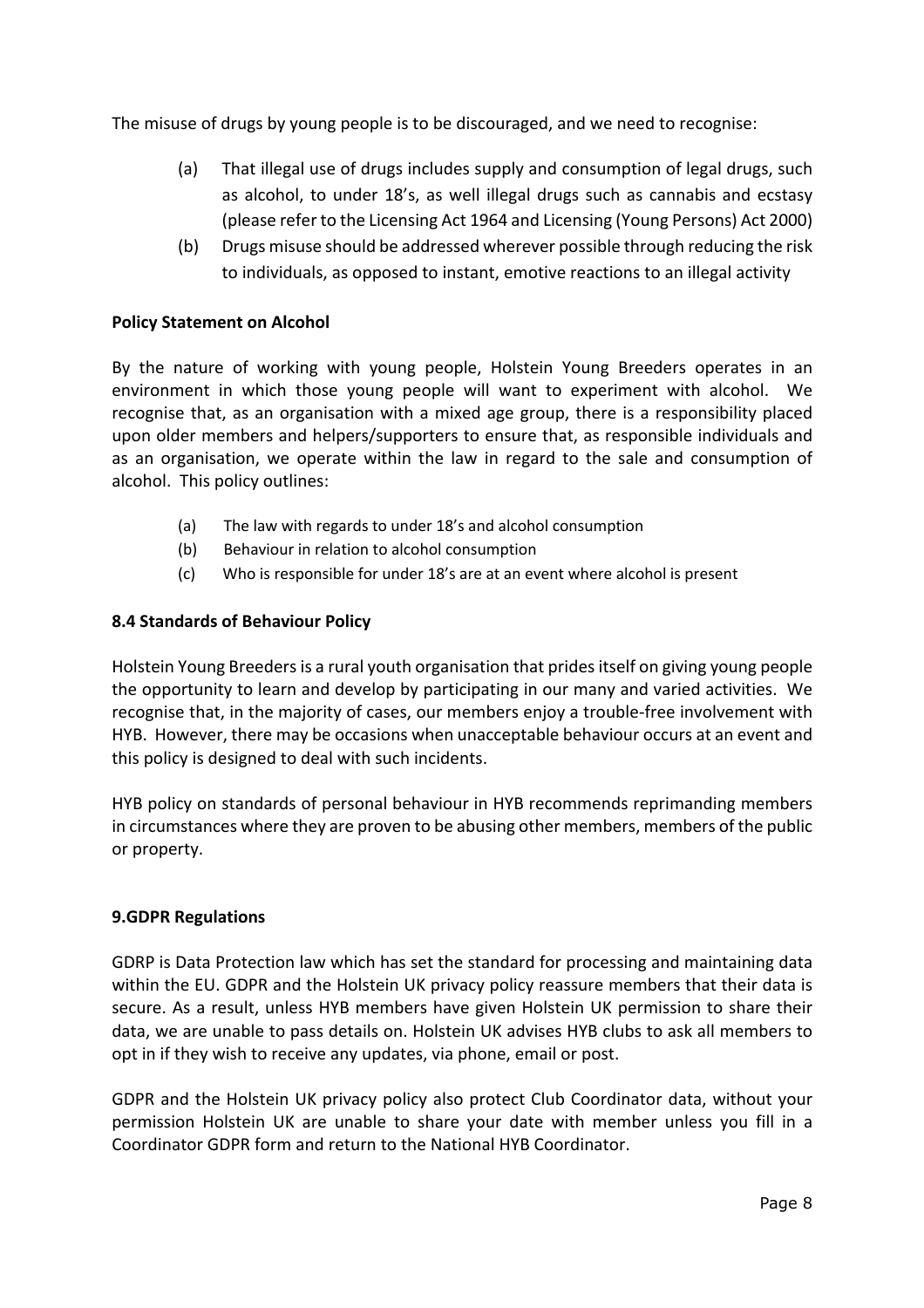The misuse of drugs by young people is to be discouraged, and we need to recognise:

- (a) That illegal use of drugs includes supply and consumption of legal drugs, such as alcohol, to under 18's, as well illegal drugs such as cannabis and ecstasy (please refer to the Licensing Act 1964 and Licensing (Young Persons) Act 2000)
- (b) Drugs misuse should be addressed wherever possible through reducing the risk to individuals, as opposed to instant, emotive reactions to an illegal activity

#### **Policy Statement on Alcohol**

By the nature of working with young people, Holstein Young Breeders operates in an environment in which those young people will want to experiment with alcohol. We recognise that, as an organisation with a mixed age group, there is a responsibility placed upon older members and helpers/supporters to ensure that, as responsible individuals and as an organisation, we operate within the law in regard to the sale and consumption of alcohol. This policy outlines:

- (a) The law with regards to under 18's and alcohol consumption
- (b) Behaviour in relation to alcohol consumption
- (c) Who is responsible for under 18's are at an event where alcohol is present

#### **8.4 Standards of Behaviour Policy**

Holstein Young Breeders is a rural youth organisation that prides itself on giving young people the opportunity to learn and develop by participating in our many and varied activities. We recognise that, in the majority of cases, our members enjoy a trouble-free involvement with HYB. However, there may be occasions when unacceptable behaviour occurs at an event and this policy is designed to deal with such incidents.

HYB policy on standards of personal behaviour in HYB recommends reprimanding members in circumstances where they are proven to be abusing other members, members of the public or property.

#### **9.GDPR Regulations**

GDRP is Data Protection law which has set the standard for processing and maintaining data within the EU. GDPR and the Holstein UK privacy policy reassure members that their data is secure. As a result, unless HYB members have given Holstein UK permission to share their data, we are unable to pass details on. Holstein UK advises HYB clubs to ask all members to opt in if they wish to receive any updates, via phone, email or post.

GDPR and the Holstein UK privacy policy also protect Club Coordinator data, without your permission Holstein UK are unable to share your date with member unless you fill in a Coordinator GDPR form and return to the National HYB Coordinator.